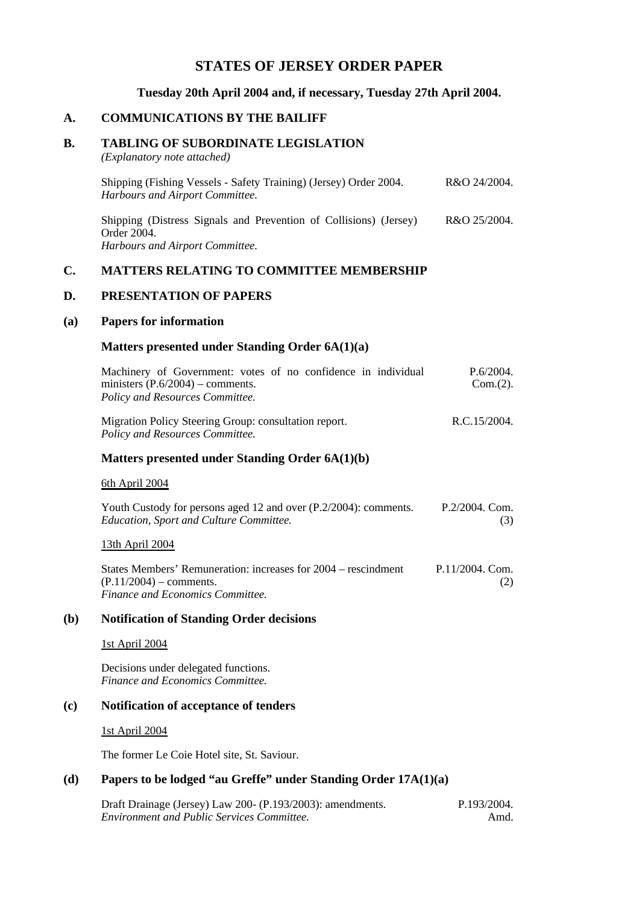# **STATES OF JERSEY ORDER PAPER**

### **Tuesday 20th April 2004 and, if necessary, Tuesday 27th April 2004.**

## **A. COMMUNICATIONS BY THE BAILIFF**

## **B. TABLING OF SUBORDINATE LEGISLATION**

*(Explanatory note attached)*

| Shipping (Fishing Vessels - Safety Training) (Jersey) Order 2004.<br><b>Harbours and Airport Committee.</b>         | R&O 24/2004. |
|---------------------------------------------------------------------------------------------------------------------|--------------|
| Shipping (Distress Signals and Prevention of Collisions) (Jersey)<br>Order 2004.<br>Harbours and Airport Committee. | R&O 25/2004. |

# **C. MATTERS RELATING TO COMMITTEE MEMBERSHIP**

## **D. PRESENTATION OF PAPERS**

### **(a) Papers for information**

### **Matters presented under Standing Order 6A(1)(a)**

| Machinery of Government: votes of no confidence in individual<br>ministers $(P.6/2004)$ – comments.<br>Policy and Resources Committee. | P.6/2004.<br>$Com.(2)$ . |
|----------------------------------------------------------------------------------------------------------------------------------------|--------------------------|
| Migration Policy Steering Group: consultation report.                                                                                  | R.C.15/2004.             |

#### *Policy and Resources Committee.*

## **Matters presented under Standing Order 6A(1)(b)**

#### 6th April 2004

| Youth Custody for persons aged 12 and over (P.2/2004): comments. | $P.2/2004.$ Com. |
|------------------------------------------------------------------|------------------|
| <i>Education, Sport and Culture Committee.</i>                   | (3)              |

### 13th April 2004

| States Members' Remuneration: increases for 2004 – rescindment | $P.11/2004$ . Com. |
|----------------------------------------------------------------|--------------------|
| $(P.11/2004)$ – comments.                                      | (2)                |
| Finance and Economics Committee.                               |                    |

#### **(b) Notification of Standing Order decisions**

#### 1st April 2004

Decisions under delegated functions. *Finance and Economics Committee.*

#### **(c) Notification of acceptance of tenders**

#### 1st April 2004

The former Le Coie Hotel site, St. Saviour.

### **(d) Papers to be lodged "au Greffe" under Standing Order 17A(1)(a)**

Draft Drainage (Jersey) Law 200- (P.193/2003): amendments. *Environment and Public Services Committee.*

P.193/2004. Amd.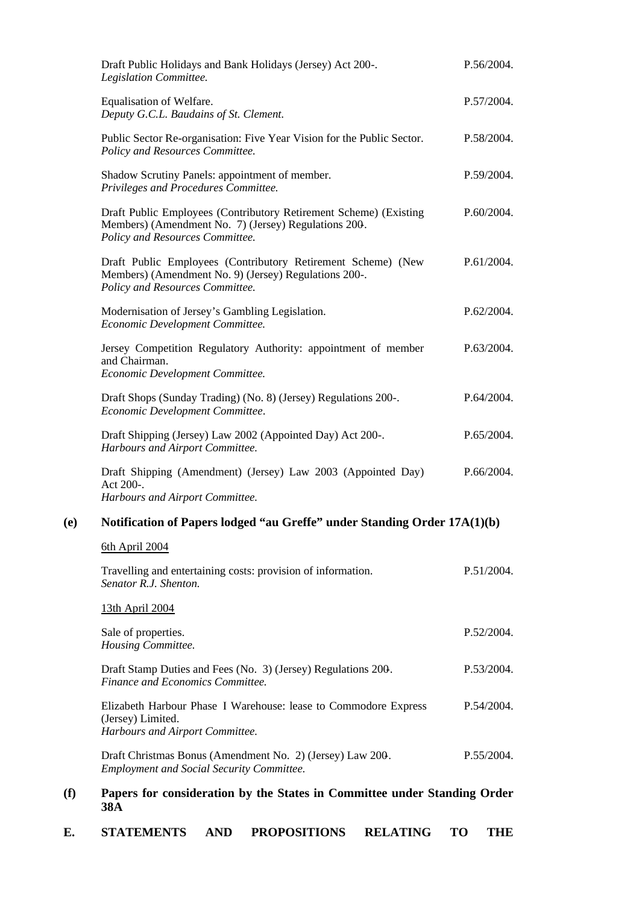|                                                                                 | Draft Public Holidays and Bank Holidays (Jersey) Act 200-.<br>Legislation Committee.                                                                         | P.56/2004. |
|---------------------------------------------------------------------------------|--------------------------------------------------------------------------------------------------------------------------------------------------------------|------------|
|                                                                                 | Equalisation of Welfare.<br>Deputy G.C.L. Baudains of St. Clement.                                                                                           | P.57/2004. |
|                                                                                 | Public Sector Re-organisation: Five Year Vision for the Public Sector.<br>Policy and Resources Committee.                                                    | P.58/2004. |
|                                                                                 | Shadow Scrutiny Panels: appointment of member.<br>Privileges and Procedures Committee.                                                                       | P.59/2004. |
|                                                                                 | Draft Public Employees (Contributory Retirement Scheme) (Existing<br>Members) (Amendment No. 7) (Jersey) Regulations 200.<br>Policy and Resources Committee. | P.60/2004. |
|                                                                                 | Draft Public Employees (Contributory Retirement Scheme) (New<br>Members) (Amendment No. 9) (Jersey) Regulations 200-.<br>Policy and Resources Committee.     | P.61/2004. |
|                                                                                 | Modernisation of Jersey's Gambling Legislation.<br>Economic Development Committee.                                                                           | P.62/2004. |
|                                                                                 | Jersey Competition Regulatory Authority: appointment of member<br>and Chairman.<br>Economic Development Committee.                                           | P.63/2004. |
|                                                                                 | Draft Shops (Sunday Trading) (No. 8) (Jersey) Regulations 200-.<br>Economic Development Committee.                                                           | P.64/2004. |
|                                                                                 | Draft Shipping (Jersey) Law 2002 (Appointed Day) Act 200-.<br>Harbours and Airport Committee.                                                                | P.65/2004. |
|                                                                                 | Draft Shipping (Amendment) (Jersey) Law 2003 (Appointed Day)<br>Act 200-.<br>Harbours and Airport Committee.                                                 | P.66/2004. |
| Notification of Papers lodged "au Greffe" under Standing Order 17A(1)(b)<br>(e) |                                                                                                                                                              |            |
|                                                                                 | 6th April 2004                                                                                                                                               |            |
|                                                                                 | Travelling and entertaining costs: provision of information.<br>Senator R.J. Shenton.                                                                        | P.51/2004. |
|                                                                                 | 13th April 2004                                                                                                                                              |            |
|                                                                                 | Sale of properties.<br>Housing Committee.                                                                                                                    | P.52/2004. |
|                                                                                 | Draft Stamp Duties and Fees (No. 3) (Jersey) Regulations 200.<br>Finance and Economics Committee.                                                            | P.53/2004. |
|                                                                                 |                                                                                                                                                              |            |

Elizabeth Harbour Phase I Warehouse: lease to Commodore Express (Jersey) Limited. *Harbours and Airport Committee.* P.54/2004.

Draft Christmas Bonus (Amendment No. 2) (Jersey) Law 200-. *Employment and Social Security Committee.* P.55/2004.

# **(f) Papers for consideration by the States in Committee under Standing Order 38A**

**E. STATEMENTS AND PROPOSITIONS RELATING TO THE**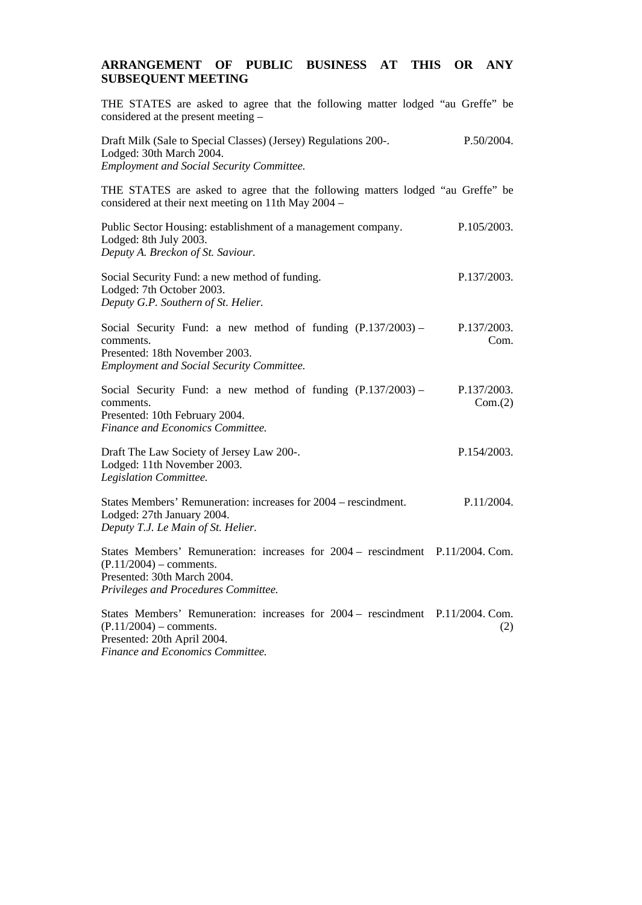# **ARRANGEMENT OF PUBLIC BUSINESS AT THIS OR ANY SUBSEQUENT MEETING**

| THE STATES are asked to agree that the following matter lodged "au Greffe" be<br>considered at the present meeting -                                                               |                           |
|------------------------------------------------------------------------------------------------------------------------------------------------------------------------------------|---------------------------|
| Draft Milk (Sale to Special Classes) (Jersey) Regulations 200-.<br>Lodged: 30th March 2004.<br><b>Employment and Social Security Committee.</b>                                    | P.50/2004.                |
| THE STATES are asked to agree that the following matters lodged "au Greffe" be<br>considered at their next meeting on 11th May 2004 –                                              |                           |
| Public Sector Housing: establishment of a management company.<br>Lodged: 8th July 2003.<br>Deputy A. Breckon of St. Saviour.                                                       | P.105/2003.               |
| Social Security Fund: a new method of funding.<br>Lodged: 7th October 2003.<br>Deputy G.P. Southern of St. Helier.                                                                 | P.137/2003.               |
| Social Security Fund: a new method of funding $(P.137/2003)$ –<br>comments.<br>Presented: 18th November 2003.<br><b>Employment and Social Security Committee.</b>                  | P.137/2003.<br>Com.       |
| Social Security Fund: a new method of funding $(P.137/2003)$ –<br>comments.<br>Presented: 10th February 2004.<br>Finance and Economics Committee.                                  | P.137/2003.<br>Com.(2)    |
| Draft The Law Society of Jersey Law 200-.<br>Lodged: 11th November 2003.<br>Legislation Committee.                                                                                 | P.154/2003.               |
| States Members' Remuneration: increases for 2004 – rescindment.<br>Lodged: 27th January 2004.<br>Deputy T.J. Le Main of St. Helier.                                                | P.11/2004.                |
| States Members' Remuneration: increases for 2004 - rescindment P.11/2004. Com.<br>$(P.11/2004)$ – comments.<br>Presented: 30th March 2004.<br>Privileges and Procedures Committee. |                           |
| States Members' Remuneration: increases for 2004 – rescindment<br>$(P.11/2004)$ – comments.<br>Presented: 20th April 2004.                                                         | $P.11/2004$ . Com.<br>(2) |

*Finance and Economics Committee.*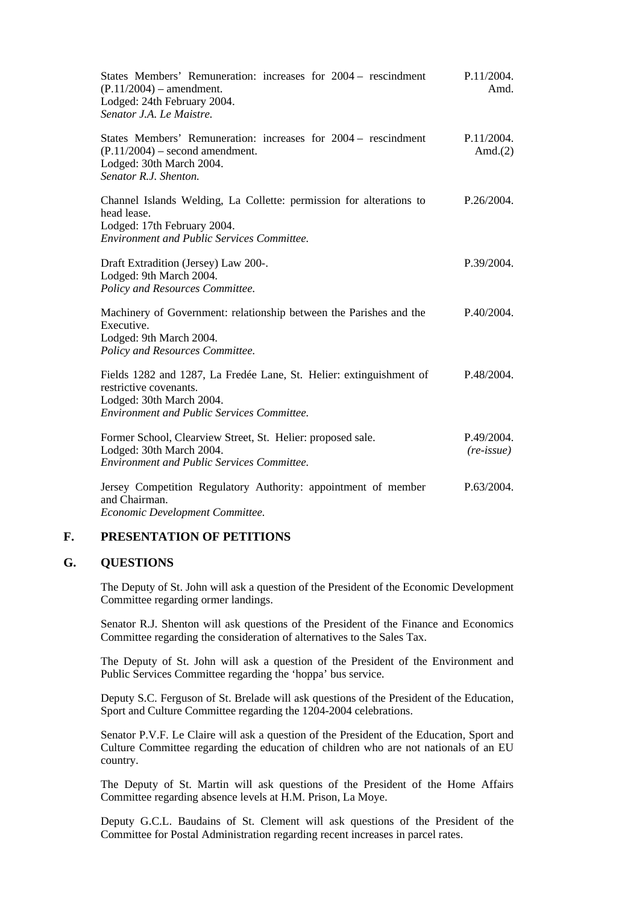| States Members' Remuneration: increases for 2004 – rescindment<br>$(P.11/2004)$ – amendment.<br>Lodged: 24th February 2004.<br>Senator J.A. Le Maistre.                        | P.11/2004.<br>Amd.                |
|--------------------------------------------------------------------------------------------------------------------------------------------------------------------------------|-----------------------------------|
| States Members' Remuneration: increases for 2004 – rescindment<br>$(P.11/2004)$ – second amendment.<br>Lodged: 30th March 2004.<br>Senator R.J. Shenton.                       | P.11/2004.<br>Amd. $(2)$          |
| Channel Islands Welding, La Collette: permission for alterations to<br>head lease.<br>Lodged: 17th February 2004.<br><b>Environment and Public Services Committee.</b>         | P.26/2004.                        |
| Draft Extradition (Jersey) Law 200-.<br>Lodged: 9th March 2004.<br>Policy and Resources Committee.                                                                             | P.39/2004.                        |
| Machinery of Government: relationship between the Parishes and the<br>Executive.<br>Lodged: 9th March 2004.<br>Policy and Resources Committee.                                 | P.40/2004.                        |
| Fields 1282 and 1287, La Fredée Lane, St. Helier: extinguishment of<br>restrictive covenants.<br>Lodged: 30th March 2004.<br><b>Environment and Public Services Committee.</b> | P.48/2004.                        |
| Former School, Clearview Street, St. Helier: proposed sale.<br>Lodged: 30th March 2004.<br><b>Environment and Public Services Committee.</b>                                   | P.49/2004.<br>$(re\text{-}issue)$ |
| Jersey Competition Regulatory Authority: appointment of member<br>and Chairman.                                                                                                | P.63/2004.                        |

*Economic Development Committee.*

# **F. PRESENTATION OF PETITIONS**

### **G. QUESTIONS**

The Deputy of St. John will ask a question of the President of the Economic Development Committee regarding ormer landings.

Senator R.J. Shenton will ask questions of the President of the Finance and Economics Committee regarding the consideration of alternatives to the Sales Tax.

The Deputy of St. John will ask a question of the President of the Environment and Public Services Committee regarding the 'hoppa' bus service.

Deputy S.C. Ferguson of St. Brelade will ask questions of the President of the Education, Sport and Culture Committee regarding the 1204-2004 celebrations.

Senator P.V.F. Le Claire will ask a question of the President of the Education, Sport and Culture Committee regarding the education of children who are not nationals of an EU country.

The Deputy of St. Martin will ask questions of the President of the Home Affairs Committee regarding absence levels at H.M. Prison, La Moye.

Deputy G.C.L. Baudains of St. Clement will ask questions of the President of the Committee for Postal Administration regarding recent increases in parcel rates.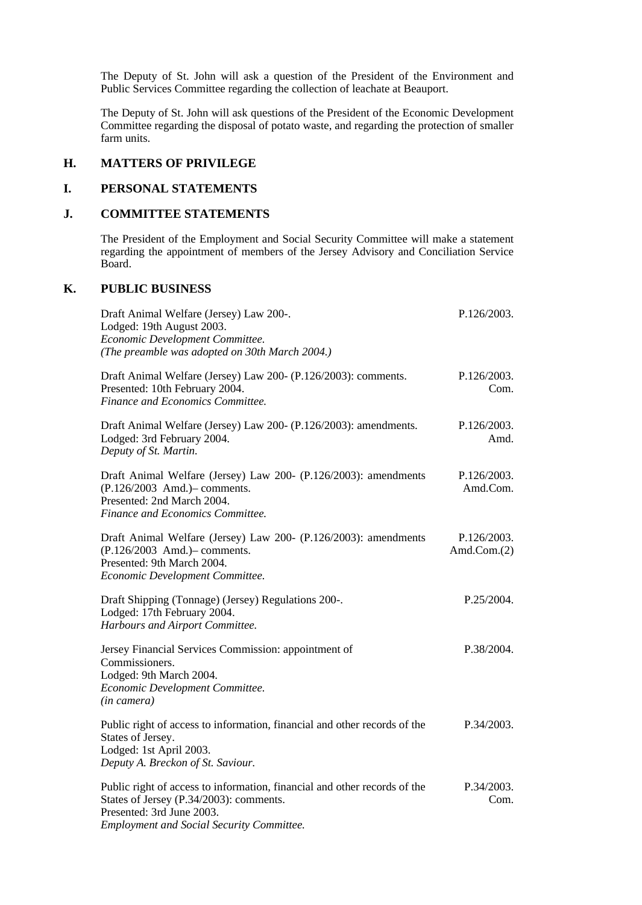The Deputy of St. John will ask a question of the President of the Environment and Public Services Committee regarding the collection of leachate at Beauport.

The Deputy of St. John will ask questions of the President of the Economic Development Committee regarding the disposal of potato waste, and regarding the protection of smaller farm units.

### **H. MATTERS OF PRIVILEGE**

# **I. PERSONAL STATEMENTS**

## **J. COMMITTEE STATEMENTS**

The President of the Employment and Social Security Committee will make a statement regarding the appointment of members of the Jersey Advisory and Conciliation Service Board.

## **K. PUBLIC BUSINESS**

| Draft Animal Welfare (Jersey) Law 200-.<br>Lodged: 19th August 2003.<br>Economic Development Committee.<br>(The preamble was adopted on 30th March 2004.)          | P.126/2003.                   |
|--------------------------------------------------------------------------------------------------------------------------------------------------------------------|-------------------------------|
| Draft Animal Welfare (Jersey) Law 200- (P.126/2003): comments.<br>Presented: 10th February 2004.<br>Finance and Economics Committee.                               | P.126/2003.<br>Com.           |
| Draft Animal Welfare (Jersey) Law 200- (P.126/2003): amendments.<br>Lodged: 3rd February 2004.<br>Deputy of St. Martin.                                            | P.126/2003.<br>Amd.           |
| Draft Animal Welfare (Jersey) Law 200- (P.126/2003): amendments<br>(P.126/2003 Amd.) - comments.<br>Presented: 2nd March 2004.<br>Finance and Economics Committee. | P.126/2003.<br>Amd.Com.       |
| Draft Animal Welfare (Jersey) Law 200- (P.126/2003): amendments<br>(P.126/2003 Amd.) - comments.<br>Presented: 9th March 2004.<br>Economic Development Committee.  | P.126/2003.<br>Amd.Com. $(2)$ |
| Draft Shipping (Tonnage) (Jersey) Regulations 200-.<br>Lodged: 17th February 2004.<br>Harbours and Airport Committee.                                              | P.25/2004.                    |
| Jersey Financial Services Commission: appointment of<br>Commissioners.<br>Lodged: 9th March 2004.<br>Economic Development Committee.<br>(in camera)                | P.38/2004.                    |
| Public right of access to information, financial and other records of the<br>States of Jersey.<br>Lodged: 1st April 2003.<br>Deputy A. Breckon of St. Saviour.     | P.34/2003.                    |
| Public right of access to information, financial and other records of the<br>States of Jersey (P.34/2003): comments.<br>Presented: 3rd June 2003.                  | P.34/2003.<br>Com.            |

*Employment and Social Security Committee.*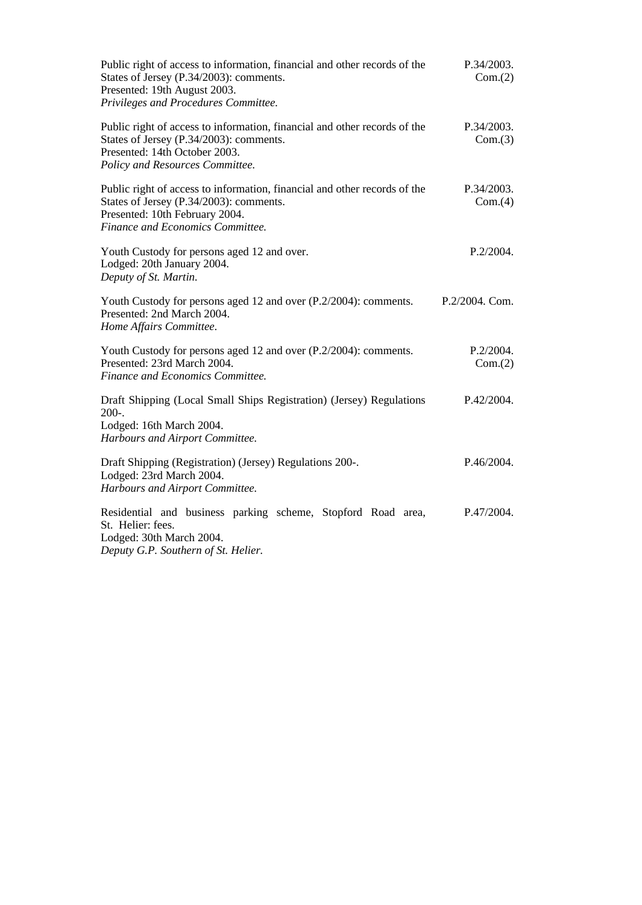| Public right of access to information, financial and other records of the<br>States of Jersey (P.34/2003): comments.<br>Presented: 19th August 2003.<br>Privileges and Procedures Committee. | P.34/2003.<br>Com.(2) |
|----------------------------------------------------------------------------------------------------------------------------------------------------------------------------------------------|-----------------------|
| Public right of access to information, financial and other records of the<br>States of Jersey (P.34/2003): comments.<br>Presented: 14th October 2003.<br>Policy and Resources Committee.     | P.34/2003.<br>Com.(3) |
| Public right of access to information, financial and other records of the<br>States of Jersey (P.34/2003): comments.<br>Presented: 10th February 2004.<br>Finance and Economics Committee.   | P.34/2003.<br>Com.(4) |
| Youth Custody for persons aged 12 and over.<br>Lodged: 20th January 2004.<br>Deputy of St. Martin.                                                                                           | P.2/2004.             |
| Youth Custody for persons aged 12 and over (P.2/2004): comments.<br>Presented: 2nd March 2004.<br>Home Affairs Committee.                                                                    | P.2/2004. Com.        |
| Youth Custody for persons aged 12 and over (P.2/2004): comments.<br>Presented: 23rd March 2004.<br>Finance and Economics Committee.                                                          | P.2/2004.<br>Com.(2)  |
| Draft Shipping (Local Small Ships Registration) (Jersey) Regulations<br>$200-.$<br>Lodged: 16th March 2004.<br>Harbours and Airport Committee.                                               | P.42/2004.            |
| Draft Shipping (Registration) (Jersey) Regulations 200-.<br>Lodged: 23rd March 2004.<br>Harbours and Airport Committee.                                                                      | P.46/2004.            |
| Residential and business parking scheme, Stopford Road area,<br>St. Helier: fees.<br>Lodged: 30th March 2004.<br>Deputy G.P. Southern of St. Helier.                                         | P.47/2004.            |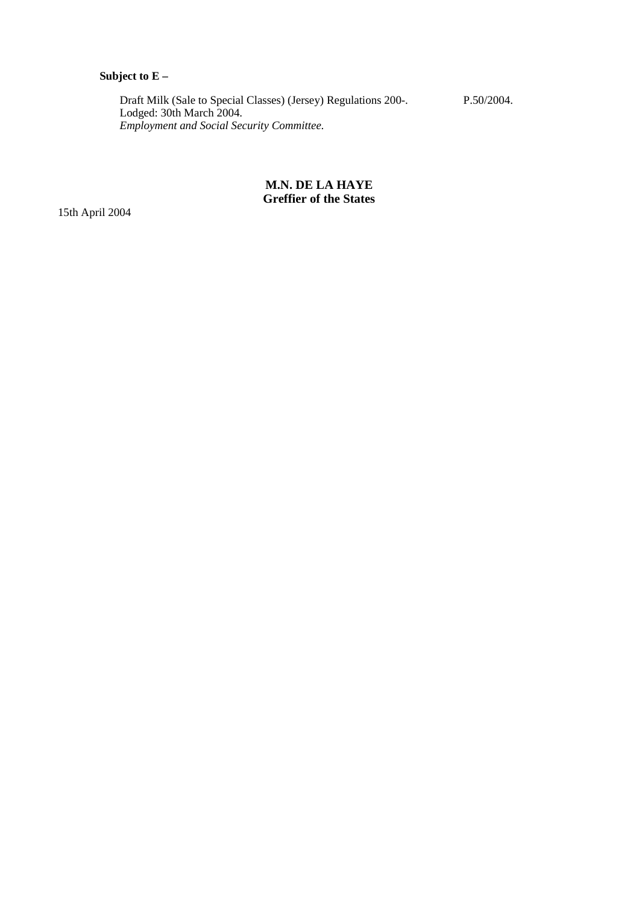# **Subject to E –**

 Draft Milk (Sale to Special Classes) (Jersey) Regulations 200-. Lodged: 30th March 2004.  *Employment and Social Security Committee.* P.50/2004.

## **M.N. DE LA HAYE Greffier of the States**

15th April 2004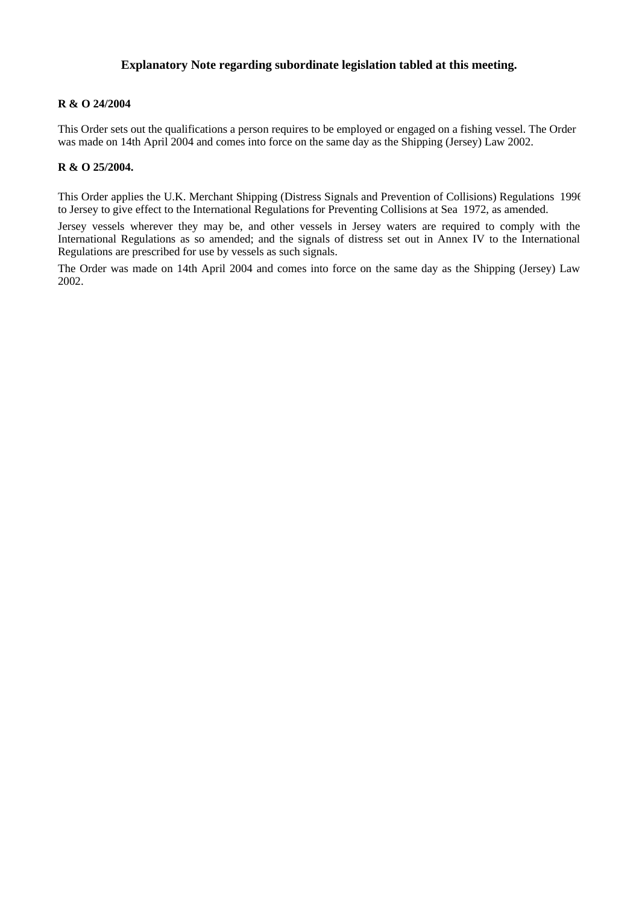## **Explanatory Note regarding subordinate legislation tabled at this meeting.**

## **R & O 24/2004**

This Order sets out the qualifications a person requires to be employed or engaged on a fishing vessel. The Order was made on 14th April 2004 and comes into force on the same day as the Shipping (Jersey) Law 2002.

### **R & O 25/2004.**

This Order applies the U.K. Merchant Shipping (Distress Signals and Prevention of Collisions) Regulations 1996 to Jersey to give effect to the International Regulations for Preventing Collisions at Sea 1972, as amended.

Jersey vessels wherever they may be, and other vessels in Jersey waters are required to comply with the International Regulations as so amended; and the signals of distress set out in Annex IV to the International Regulations are prescribed for use by vessels as such signals.

The Order was made on 14th April 2004 and comes into force on the same day as the Shipping (Jersey) Law 2002.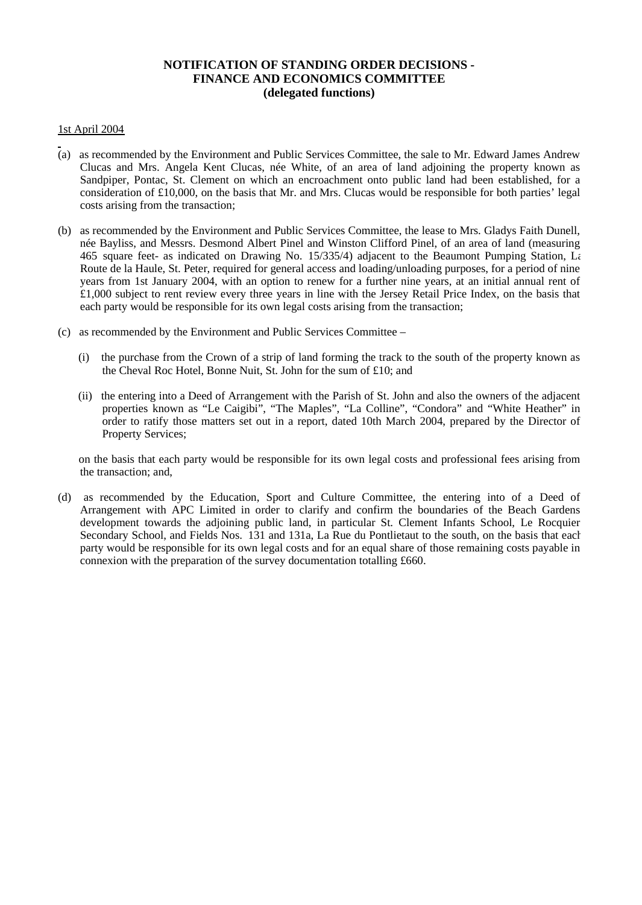## **NOTIFICATION OF STANDING ORDER DECISIONS - FINANCE AND ECONOMICS COMMITTEE (delegated functions)**

### 1st April 2004

- (a) as recommended by the Environment and Public Services Committee, the sale to Mr. Edward James Andrew Clucas and Mrs. Angela Kent Clucas, née White, of an area of land adjoining the property known as Sandpiper, Pontac, St. Clement on which an encroachment onto public land had been established, for a consideration of £10,000, on the basis that Mr. and Mrs. Clucas would be responsible for both parties' legal costs arising from the transaction;
- (b) as recommended by the Environment and Public Services Committee, the lease to Mrs. Gladys Faith Dunell, née Bayliss, and Messrs. Desmond Albert Pinel and Winston Clifford Pinel, of an area of land (measuring 465 square feet- as indicated on Drawing No. 15/335/4) adjacent to the Beaumont Pumping Station,  $L_i$ Route de la Haule, St. Peter, required for general access and loading/unloading purposes, for a period of nine years from 1st January 2004, with an option to renew for a further nine years, at an initial annual rent of £1,000 subject to rent review every three years in line with the Jersey Retail Price Index, on the basis that each party would be responsible for its own legal costs arising from the transaction;
- (c) as recommended by the Environment and Public Services Committee
	- (i) the purchase from the Crown of a strip of land forming the track to the south of the property known as the Cheval Roc Hotel, Bonne Nuit, St. John for the sum of £10; and
	- (ii) the entering into a Deed of Arrangement with the Parish of St. John and also the owners of the adjacent properties known as "Le Caigibi", "The Maples", "La Colline", "Condora" and "White Heather" in order to ratify those matters set out in a report, dated 10th March 2004, prepared by the Director of Property Services;

 on the basis that each party would be responsible for its own legal costs and professional fees arising from the transaction; and,

(d) as recommended by the Education, Sport and Culture Committee, the entering into of a Deed of Arrangement with APC Limited in order to clarify and confirm the boundaries of the Beach Gardens development towards the adjoining public land, in particular St. Clement Infants School, Le Rocquier Secondary School, and Fields Nos. 131 and 131a, La Rue du Pontlietaut to the south, on the basis that each party would be responsible for its own legal costs and for an equal share of those remaining costs payable in connexion with the preparation of the survey documentation totalling £660.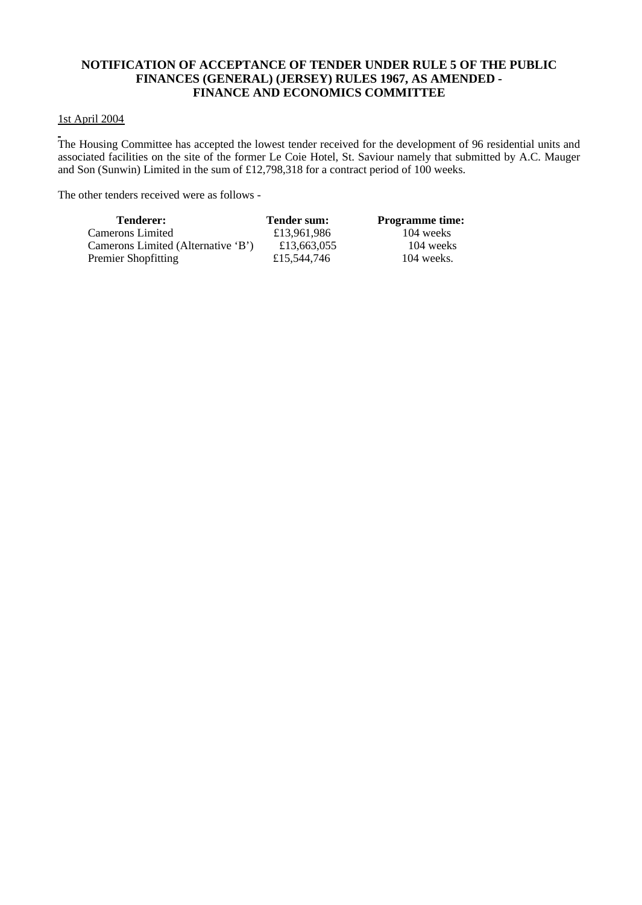## **NOTIFICATION OF ACCEPTANCE OF TENDER UNDER RULE 5 OF THE PUBLIC FINANCES (GENERAL) (JERSEY) RULES 1967, AS AMENDED - FINANCE AND ECONOMICS COMMITTEE**

## 1st April 2004

The Housing Committee has accepted the lowest tender received for the development of 96 residential units and associated facilities on the site of the former Le Coie Hotel, St. Saviour namely that submitted by A.C. Mauger and Son (Sunwin) Limited in the sum of £12,798,318 for a contract period of 100 weeks.

The other tenders received were as follows -

| <b>Tenderer:</b>                   | <b>Tender sum:</b> | <b>Programme time:</b> |
|------------------------------------|--------------------|------------------------|
| Camerons Limited                   | £13,961,986        | 104 weeks              |
| Camerons Limited (Alternative 'B') | £13,663,055        | 104 weeks              |
| Premier Shopfitting                | £15,544,746        | $104$ weeks.           |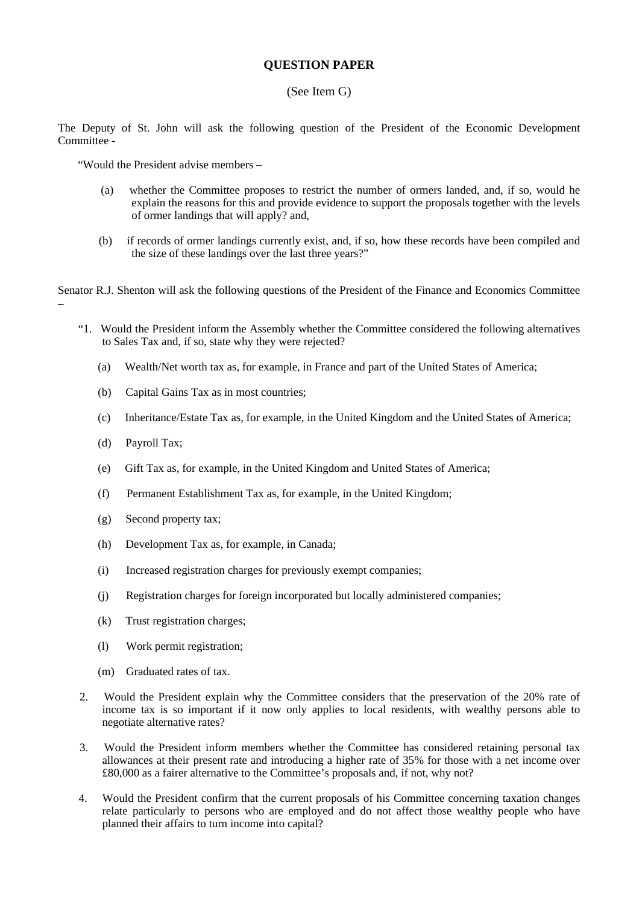## **QUESTION PAPER**

### (See Item G)

The Deputy of St. John will ask the following question of the President of the Economic Development Committee -

"Would the President advise members –

- (a) whether the Committee proposes to restrict the number of ormers landed, and, if so, would he explain the reasons for this and provide evidence to support the proposals together with the levels of ormer landings that will apply? and,
- (b) if records of ormer landings currently exist, and, if so, how these records have been compiled and the size of these landings over the last three years?"

Senator R.J. Shenton will ask the following questions of the President of the Finance and Economics Committee

- "1. Would the President inform the Assembly whether the Committee considered the following alternatives to Sales Tax and, if so, state why they were rejected?
	- (a) Wealth/Net worth tax as, for example, in France and part of the United States of America;
	- (b) Capital Gains Tax as in most countries;
	- (c) Inheritance/Estate Tax as, for example, in the United Kingdom and the United States of America;
	- (d) Payroll Tax;

–

- (e) Gift Tax as, for example, in the United Kingdom and United States of America;
- (f) Permanent Establishment Tax as, for example, in the United Kingdom;
- (g) Second property tax;
- (h) Development Tax as, for example, in Canada;
- (i) Increased registration charges for previously exempt companies;
- (j) Registration charges for foreign incorporated but locally administered companies;
- (k) Trust registration charges;
- (l) Work permit registration;
- (m) Graduated rates of tax.
- 2. Would the President explain why the Committee considers that the preservation of the 20% rate of income tax is so important if it now only applies to local residents, with wealthy persons able to negotiate alternative rates?
- 3. Would the President inform members whether the Committee has considered retaining personal tax allowances at their present rate and introducing a higher rate of 35% for those with a net income over £80,000 as a fairer alternative to the Committee's proposals and, if not, why not?
- 4. Would the President confirm that the current proposals of his Committee concerning taxation changes relate particularly to persons who are employed and do not affect those wealthy people who have planned their affairs to turn income into capital?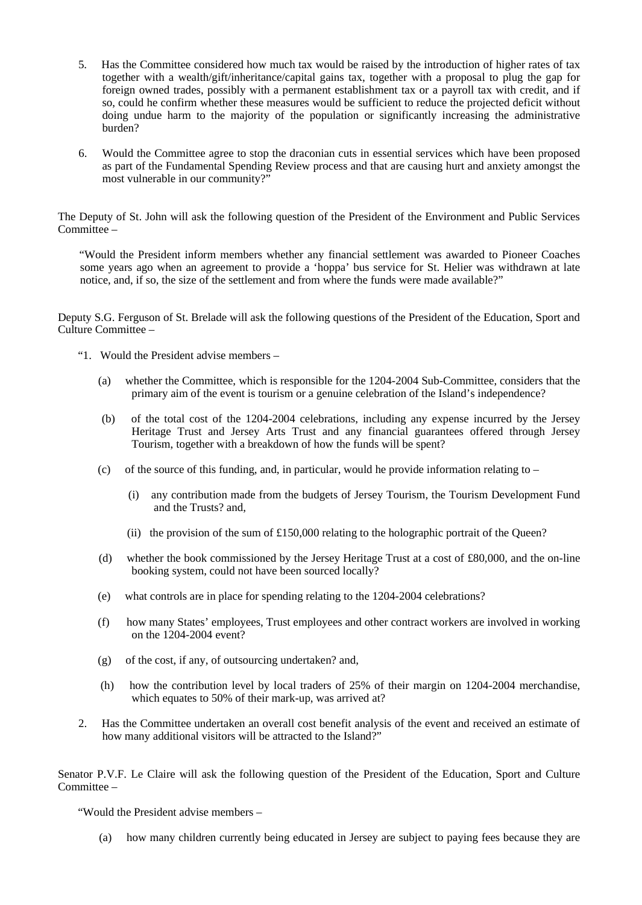- 5. Has the Committee considered how much tax would be raised by the introduction of higher rates of tax together with a wealth/gift/inheritance/capital gains tax, together with a proposal to plug the gap for foreign owned trades, possibly with a permanent establishment tax or a payroll tax with credit, and if so, could he confirm whether these measures would be sufficient to reduce the projected deficit without doing undue harm to the majority of the population or significantly increasing the administrative burden?
- 6. Would the Committee agree to stop the draconian cuts in essential services which have been proposed as part of the Fundamental Spending Review process and that are causing hurt and anxiety amongst the most vulnerable in our community?"

The Deputy of St. John will ask the following question of the President of the Environment and Public Services Committee –

 "Would the President inform members whether any financial settlement was awarded to Pioneer Coaches some years ago when an agreement to provide a 'hoppa' bus service for St. Helier was withdrawn at late notice, and, if so, the size of the settlement and from where the funds were made available?"

Deputy S.G. Ferguson of St. Brelade will ask the following questions of the President of the Education, Sport and Culture Committee –

- "1. Would the President advise members
	- (a) whether the Committee, which is responsible for the 1204-2004 Sub-Committee, considers that the primary aim of the event is tourism or a genuine celebration of the Island's independence?
	- (b) of the total cost of the 1204-2004 celebrations, including any expense incurred by the Jersey Heritage Trust and Jersey Arts Trust and any financial guarantees offered through Jersey Tourism, together with a breakdown of how the funds will be spent?
	- (c) of the source of this funding, and, in particular, would he provide information relating to
		- (i) any contribution made from the budgets of Jersey Tourism, the Tourism Development Fund and the Trusts? and,
		- (ii) the provision of the sum of  $£150,000$  relating to the holographic portrait of the Queen?
	- (d) whether the book commissioned by the Jersey Heritage Trust at a cost of £80,000, and the on-line booking system, could not have been sourced locally?
	- (e) what controls are in place for spending relating to the 1204-2004 celebrations?
	- (f) how many States' employees, Trust employees and other contract workers are involved in working on the 1204-2004 event?
	- (g) of the cost, if any, of outsourcing undertaken? and,
	- (h) how the contribution level by local traders of 25% of their margin on 1204-2004 merchandise, which equates to 50% of their mark-up, was arrived at?
- 2. Has the Committee undertaken an overall cost benefit analysis of the event and received an estimate of how many additional visitors will be attracted to the Island?"

Senator P.V.F. Le Claire will ask the following question of the President of the Education, Sport and Culture Committee –

"Would the President advise members –

(a) how many children currently being educated in Jersey are subject to paying fees because they are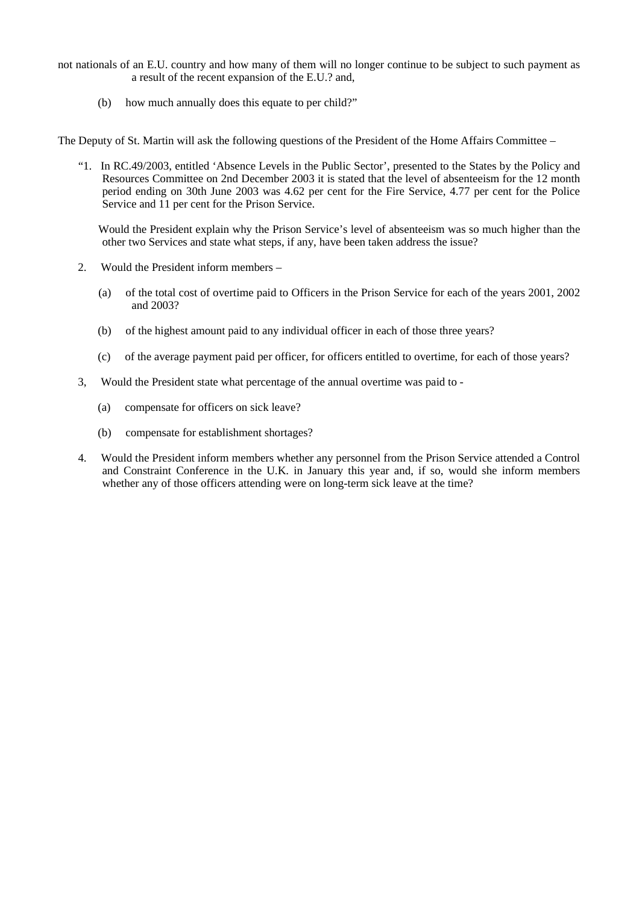- not nationals of an E.U. country and how many of them will no longer continue to be subject to such payment as a result of the recent expansion of the E.U.? and,
	- (b) how much annually does this equate to per child?"

The Deputy of St. Martin will ask the following questions of the President of the Home Affairs Committee –

 "1. In RC.49/2003, entitled 'Absence Levels in the Public Sector', presented to the States by the Policy and Resources Committee on 2nd December 2003 it is stated that the level of absenteeism for the 12 month period ending on 30th June 2003 was 4.62 per cent for the Fire Service, 4.77 per cent for the Police Service and 11 per cent for the Prison Service.

 Would the President explain why the Prison Service's level of absenteeism was so much higher than the other two Services and state what steps, if any, have been taken address the issue?

- 2. Would the President inform members
	- (a) of the total cost of overtime paid to Officers in the Prison Service for each of the years 2001, 2002 and 2003?
	- (b) of the highest amount paid to any individual officer in each of those three years?
	- (c) of the average payment paid per officer, for officers entitled to overtime, for each of those years?
- 3, Would the President state what percentage of the annual overtime was paid to
	- (a) compensate for officers on sick leave?
	- (b) compensate for establishment shortages?
- 4. Would the President inform members whether any personnel from the Prison Service attended a Control and Constraint Conference in the U.K. in January this year and, if so, would she inform members whether any of those officers attending were on long-term sick leave at the time?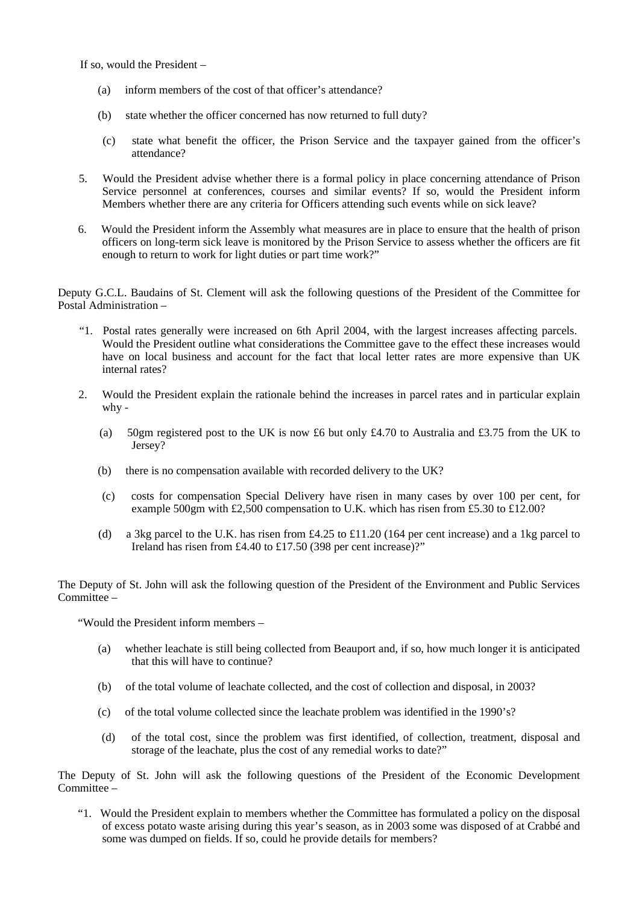If so, would the President –

- (a) inform members of the cost of that officer's attendance?
- (b) state whether the officer concerned has now returned to full duty?
- (c) state what benefit the officer, the Prison Service and the taxpayer gained from the officer's attendance?
- 5. Would the President advise whether there is a formal policy in place concerning attendance of Prison Service personnel at conferences, courses and similar events? If so, would the President inform Members whether there are any criteria for Officers attending such events while on sick leave?
- 6. Would the President inform the Assembly what measures are in place to ensure that the health of prison officers on long-term sick leave is monitored by the Prison Service to assess whether the officers are fit enough to return to work for light duties or part time work?"

Deputy G.C.L. Baudains of St. Clement will ask the following questions of the President of the Committee for Postal Administration –

- "1. Postal rates generally were increased on 6th April 2004, with the largest increases affecting parcels. Would the President outline what considerations the Committee gave to the effect these increases would have on local business and account for the fact that local letter rates are more expensive than UK internal rates?
- 2. Would the President explain the rationale behind the increases in parcel rates and in particular explain why -
	- (a) 50gm registered post to the UK is now £6 but only £4.70 to Australia and £3.75 from the UK to Jersey?
	- (b) there is no compensation available with recorded delivery to the UK?
	- (c) costs for compensation Special Delivery have risen in many cases by over 100 per cent, for example 500gm with £2,500 compensation to U.K. which has risen from £5.30 to £12.00?
	- (d) a 3kg parcel to the U.K. has risen from  $\text{\pounds}4.25$  to  $\text{\pounds}11.20$  (164 per cent increase) and a 1kg parcel to Ireland has risen from £4.40 to £17.50 (398 per cent increase)?"

The Deputy of St. John will ask the following question of the President of the Environment and Public Services Committee –

"Would the President inform members –

- (a) whether leachate is still being collected from Beauport and, if so, how much longer it is anticipated that this will have to continue?
- (b) of the total volume of leachate collected, and the cost of collection and disposal, in 2003?
- (c) of the total volume collected since the leachate problem was identified in the 1990's?
- (d) of the total cost, since the problem was first identified, of collection, treatment, disposal and storage of the leachate, plus the cost of any remedial works to date?"

The Deputy of St. John will ask the following questions of the President of the Economic Development Committee –

 "1. Would the President explain to members whether the Committee has formulated a policy on the disposal of excess potato waste arising during this year's season, as in 2003 some was disposed of at Crabbé and some was dumped on fields. If so, could he provide details for members?